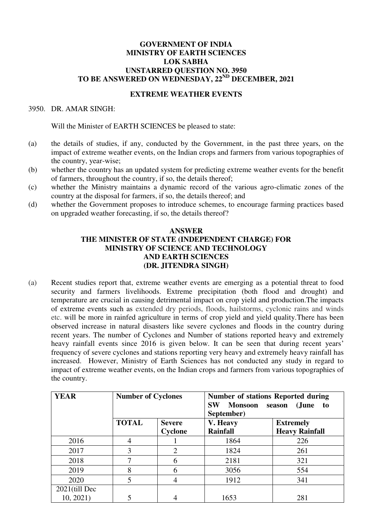## **GOVERNMENT OF INDIA MINISTRY OF EARTH SCIENCES LOK SABHA UNSTARRED QUESTION NO. 3950 TO BE ANSWERED ON WEDNESDAY, 22ND DECEMBER, 2021**

## **EXTREME WEATHER EVENTS**

3950. DR. AMAR SINGH:

Will the Minister of EARTH SCIENCES be pleased to state:

- (a) the details of studies, if any, conducted by the Government, in the past three years, on the impact of extreme weather events, on the Indian crops and farmers from various topographies of the country, year-wise;
- (b) whether the country has an updated system for predicting extreme weather events for the benefit of farmers, throughout the country, if so, the details thereof;
- (c) whether the Ministry maintains a dynamic record of the various agro-climatic zones of the country at the disposal for farmers, if so, the details thereof; and
- (d) whether the Government proposes to introduce schemes, to encourage farming practices based on upgraded weather forecasting, if so, the details thereof?

## **ANSWER THE MINISTER OF STATE (INDEPENDENT CHARGE) FOR MINISTRY OF SCIENCE AND TECHNOLOGY AND EARTH SCIENCES (DR. JITENDRA SINGH)**

(a) Recent studies report that, extreme weather events are emerging as a potential threat to food security and farmers livelihoods. Extreme precipitation (both flood and drought) and temperature are crucial in causing detrimental impact on crop yield and production.The impacts of extreme events such as extended dry periods, floods, hailstorms, cyclonic rains and winds etc. will be more in rainfed agriculture in terms of crop yield and yield quality.There has been observed increase in natural disasters like severe cyclones and floods in the country during recent years. The number of Cyclones and Number of stations reported heavy and extremely heavy rainfall events since 2016 is given below. It can be seen that during recent years' frequency of severe cyclones and stations reporting very heavy and extremely heavy rainfall has increased. However, Ministry of Earth Sciences has not conducted any study in regard to impact of extreme weather events, on the Indian crops and farmers from various topographies of the country.

| <b>YEAR</b>      | <b>Number of Cyclones</b> |                          | <b>Number of stations Reported during</b><br><b>SW</b><br>Monsoon<br>(June<br>season<br>to<br>September) |                                           |
|------------------|---------------------------|--------------------------|----------------------------------------------------------------------------------------------------------|-------------------------------------------|
|                  | <b>TOTAL</b>              | <b>Severe</b><br>Cyclone | V. Heavy<br><b>Rainfall</b>                                                                              | <b>Extremely</b><br><b>Heavy Rainfall</b> |
| 2016             | 4                         |                          | 1864                                                                                                     | 226                                       |
| 2017             | 3                         | 2                        | 1824                                                                                                     | 261                                       |
| 2018             |                           | 6                        | 2181                                                                                                     | 321                                       |
| 2019             | 8                         | 6                        | 3056                                                                                                     | 554                                       |
| 2020             | 5                         | 4                        | 1912                                                                                                     | 341                                       |
| $2021$ (till Dec |                           |                          |                                                                                                          |                                           |
| 10, 2021)        |                           |                          | 1653                                                                                                     | 281                                       |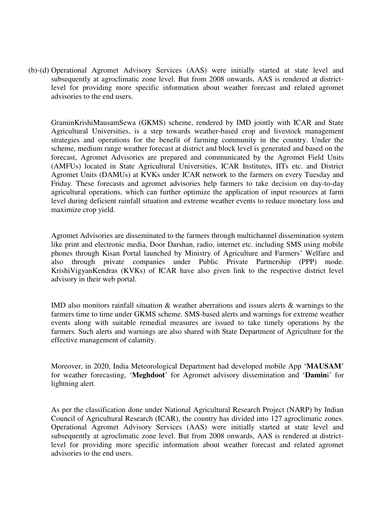(b)-(d) Operational Agromet Advisory Services (AAS) were initially started at state level and subsequently at agroclimatic zone level. But from 2008 onwards, AAS is rendered at districtlevel for providing more specific information about weather forecast and related agromet advisories to the end users.

GraminKrishiMausamSewa (GKMS) scheme, rendered by IMD jointly with ICAR and State Agricultural Universities, is a step towards weather-based crop and livestock management strategies and operations for the benefit of farming community in the country. Under the scheme, medium range weather forecast at district and block level is generated and based on the forecast, Agromet Advisories are prepared and communicated by the Agromet Field Units (AMFUs) located in State Agricultural Universities, ICAR Institutes, IITs etc. and District Agromet Units (DAMUs) at KVKs under ICAR network to the farmers on every Tuesday and Friday. These forecasts and agromet advisories help farmers to take decision on day-to-day agricultural operations, which can further optimize the application of input resources at farm level during deficient rainfall situation and extreme weather events to reduce monetary loss and maximize crop yield.

Agromet Advisories are disseminated to the farmers through multichannel dissemination system like print and electronic media, Door Darshan, radio, internet etc. including SMS using mobile phones through Kisan Portal launched by Ministry of Agriculture and Farmers' Welfare and also through private companies under Public Private Partnership (PPP) mode. KrishiVigyanKendras (KVKs) of ICAR have also given link to the respective district level advisory in their web portal.

IMD also monitors rainfall situation & weather aberrations and issues alerts & warnings to the farmers time to time under GKMS scheme. SMS-based alerts and warnings for extreme weather events along with suitable remedial measures are issued to take timely operations by the farmers. Such alerts and warnings are also shared with State Department of Agriculture for the effective management of calamity.

Moreover, in 2020, India Meteorological Department had developed mobile App '**MAUSAM**' for weather forecasting, '**Meghdoot**' for Agromet advisory dissemination and '**Damin**i' for lightning alert.

As per the classification done under National Agricultural Research Project (NARP) by Indian Council of Agricultural Research (ICAR), the country has divided into 127 agroclimatic zones. Operational Agromet Advisory Services (AAS) were initially started at state level and subsequently at agroclimatic zone level. But from 2008 onwards, AAS is rendered at districtlevel for providing more specific information about weather forecast and related agromet advisories to the end users.